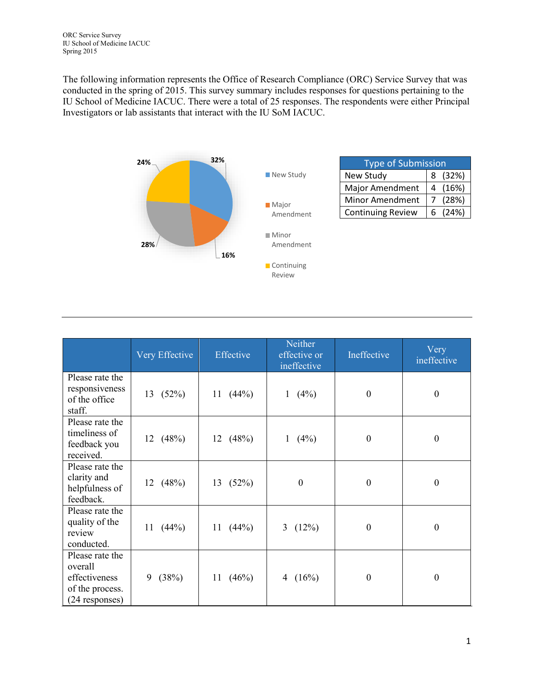The following information represents the Office of Research Compliance (ORC) Service Survey that was conducted in the spring of 2015. This survey summary includes responses for questions pertaining to the IU School of Medicine IACUC. There were a total of 25 responses. The respondents were either Principal Investigators or lab assistants that interact with the IU SoM IACUC.



|                                                                                  | Very Effective | Effective   | Neither<br>effective or<br>ineffective | Ineffective      | Very<br>ineffective |
|----------------------------------------------------------------------------------|----------------|-------------|----------------------------------------|------------------|---------------------|
| Please rate the<br>responsiveness<br>of the office<br>staff.                     | 13 (52%)       | 11 $(44%)$  | (4%)<br>$\mathbf{1}$                   | $\boldsymbol{0}$ | $\boldsymbol{0}$    |
| Please rate the<br>timeliness of<br>feedback you<br>received.                    | 12 $(48%)$     | 12 $(48%)$  | (4%)<br>$\mathbf{1}$                   | $\theta$         | $\boldsymbol{0}$    |
| Please rate the<br>clarity and<br>helpfulness of<br>feedback.                    | 12 $(48%)$     | 13(52%)     | $\boldsymbol{0}$                       | $\theta$         | $\boldsymbol{0}$    |
| Please rate the<br>quality of the<br>review<br>conducted.                        | 11 $(44\%)$    | 11 $(44%)$  | 3 $(12%)$                              | $\theta$         | $\boldsymbol{0}$    |
| Please rate the<br>overall<br>effectiveness<br>of the process.<br>(24 responses) | (38%)<br>9     | 11<br>(46%) | (16%)<br>4                             | $\Omega$         | $\boldsymbol{0}$    |